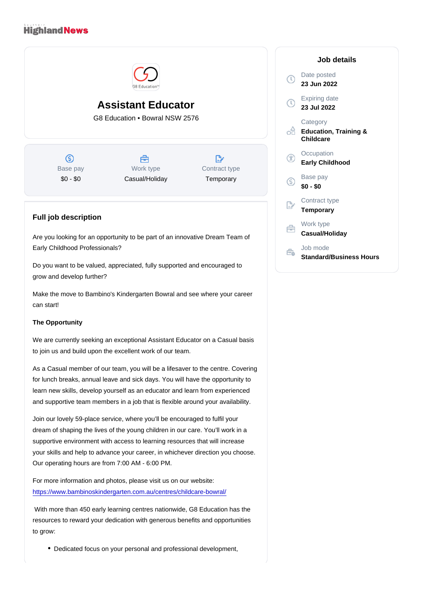## Assistant Educator G8 Education • Bowral NSW 2576

Base pay \$0 - \$0

Work type Casual/Holiday Contract type **Temporary** 

## Full job description

Are you looking for an opportunity to be part of an innovative Dream Team of Early Childhood Professionals?

Do you want to be valued, appreciated, fully supported and encouraged to grow and develop further?

Make the move to Bambino's Kindergarten Bowral and see where your career can start!

## The Opportunity

We are currently seeking an exceptional Assistant Educator on a Casual basis to join us and build upon the excellent work of our team.

As a Casual member of our team, you will be a lifesaver to the centre. Covering for lunch breaks, annual leave and sick days. You will have the opportunity to learn new skills, develop yourself as an educator and learn from experienced and supportive team members in a job that is flexible around your availability.

Join our lovely 59-place service, where you'll be encouraged to fulfil your dream of shaping the lives of the young children in our care. You'll work in a supportive environment with access to learning resources that will increase your skills and help to advance your career, in whichever direction you choose. Our operating hours are from 7:00 AM - 6:00 PM.

For more information and photos, please visit us on our website: <https://www.bambinoskindergarten.com.au/centres/childcare-bowral/>

 With more than 450 early learning centres nationwide, G8 Education has the resources to reward your dedication with generous benefits and opportunities to grow:

Dedicated focus on your personal and professional development,

## Job details

Date posted 23 Jun 2022

Expiring date 23 Jul 2022

**Category** Education, Training & **Childcare** 

**Occupation** Early Childhood

Base pay \$0 - \$0

Contract type **Temporary** 

Work type Casual/Holiday

Job mode Standard/Business Hours